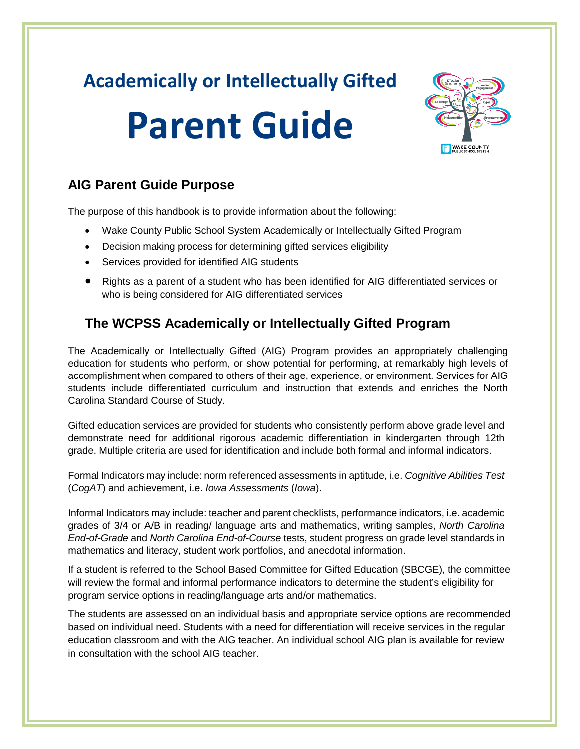## **Academically or Intellectually Gifted**

# **Parent Guide**



#### **AIG Parent Guide Purpose**

The purpose of this handbook is to provide information about the following:

- Wake County Public School System Academically or Intellectually Gifted Program
- Decision making process for determining gifted services eligibility
- Services provided for identified AIG students
- Rights as a parent of a student who has been identified for AIG differentiated services or who is being considered for AIG differentiated services

## **The WCPSS Academically or Intellectually Gifted Program**

The Academically or Intellectually Gifted (AIG) Program provides an appropriately challenging education for students who perform, or show potential for performing, at remarkably high levels of accomplishment when compared to others of their age, experience, or environment. Services for AIG students include differentiated curriculum and instruction that extends and enriches the North Carolina Standard Course of Study.

Gifted education services are provided for students who consistently perform above grade level and demonstrate need for additional rigorous academic differentiation in kindergarten through 12th grade. Multiple criteria are used for identification and include both formal and informal indicators.

Formal Indicators may include: norm referenced assessments in aptitude, i.e. *Cognitive Abilities Test* (*CogAT*) and achievement, i.e. *Iowa Assessments* (*Iowa*).

Informal Indicators may include: teacher and parent checklists, performance indicators, i.e. academic grades of 3/4 or A/B in reading/ language arts and mathematics, writing samples, *North Carolina End-of-Grade* and *North Carolina End-of-Course* tests, student progress on grade level standards in mathematics and literacy, student work portfolios, and anecdotal information.

If a student is referred to the School Based Committee for Gifted Education (SBCGE), the committee will review the formal and informal performance indicators to determine the student's eligibility for program service options in reading/language arts and/or mathematics.

The students are assessed on an individual basis and appropriate service options are recommended based on individual need. Students with a need for differentiation will receive services in the regular education classroom and with the AIG teacher. An individual school AIG plan is available for review in consultation with the school AIG teacher.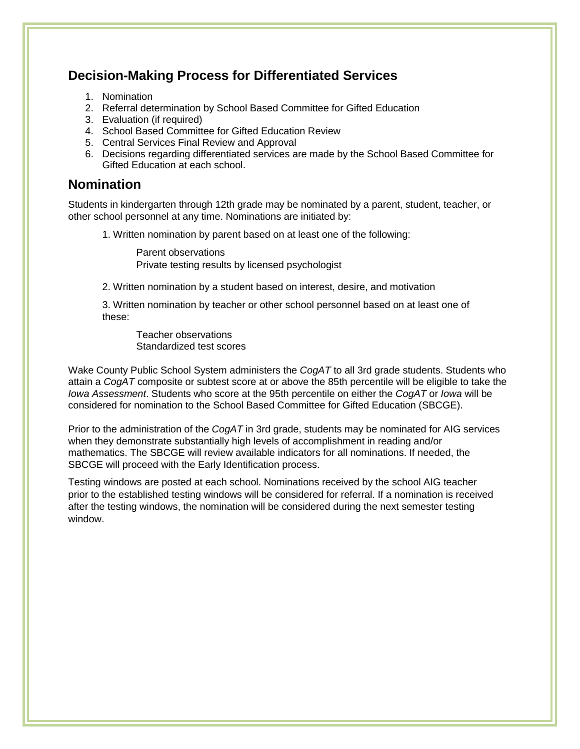#### **Decision-Making Process for Differentiated Services**

- 1. Nomination
- 2. Referral determination by School Based Committee for Gifted Education
- 3. Evaluation (if required)
- 4. School Based Committee for Gifted Education Review
- 5. Central Services Final Review and Approval
- 6. Decisions regarding differentiated services are made by the School Based Committee for Gifted Education at each school.

#### **Nomination**

Students in kindergarten through 12th grade may be nominated by a parent, student, teacher, or other school personnel at any time. Nominations are initiated by:

1. Written nomination by parent based on at least one of the following:

Parent observations Private testing results by licensed psychologist

2. Written nomination by a student based on interest, desire, and motivation

3. Written nomination by teacher or other school personnel based on at least one of these:

Teacher observations Standardized test scores

Wake County Public School System administers the *CogAT* to all 3rd grade students. Students who attain a *CogAT* composite or subtest score at or above the 85th percentile will be eligible to take the *Iowa Assessment*. Students who score at the 95th percentile on either the *CogAT* or *Iowa* will be considered for nomination to the School Based Committee for Gifted Education (SBCGE).

Prior to the administration of the *CogAT* in 3rd grade, students may be nominated for AIG services when they demonstrate substantially high levels of accomplishment in reading and/or mathematics. The SBCGE will review available indicators for all nominations. If needed, the SBCGE will proceed with the Early Identification process.

Testing windows are posted at each school. Nominations received by the school AIG teacher prior to the established testing windows will be considered for referral. If a nomination is received after the testing windows, the nomination will be considered during the next semester testing window.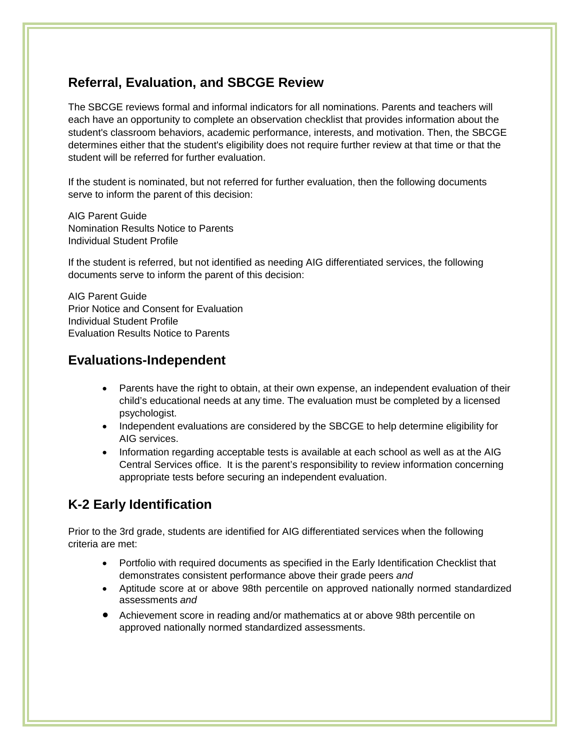#### **Referral, Evaluation, and SBCGE Review**

The SBCGE reviews formal and informal indicators for all nominations. Parents and teachers will each have an opportunity to complete an observation checklist that provides information about the student's classroom behaviors, academic performance, interests, and motivation. Then, the SBCGE determines either that the student's eligibility does not require further review at that time or that the student will be referred for further evaluation.

If the student is nominated, but not referred for further evaluation, then the following documents serve to inform the parent of this decision:

AIG Parent Guide Nomination Results Notice to Parents Individual Student Profile

If the student is referred, but not identified as needing AIG differentiated services, the following documents serve to inform the parent of this decision:

AIG Parent Guide Prior Notice and Consent for Evaluation Individual Student Profile Evaluation Results Notice to Parents

#### **Evaluations-Independent**

- Parents have the right to obtain, at their own expense, an independent evaluation of their child's educational needs at any time. The evaluation must be completed by a licensed psychologist.
- Independent evaluations are considered by the SBCGE to help determine eligibility for AIG services.
- Information regarding acceptable tests is available at each school as well as at the AIG Central Services office. It is the parent's responsibility to review information concerning appropriate tests before securing an independent evaluation.

## **K-2 Early Identification**

Prior to the 3rd grade, students are identified for AIG differentiated services when the following criteria are met:

- Portfolio with required documents as specified in the Early Identification Checklist that demonstrates consistent performance above their grade peers *and*
- Aptitude score at or above 98th percentile on approved nationally normed standardized assessments *and*
- Achievement score in reading and/or mathematics at or above 98th percentile on approved nationally normed standardized assessments.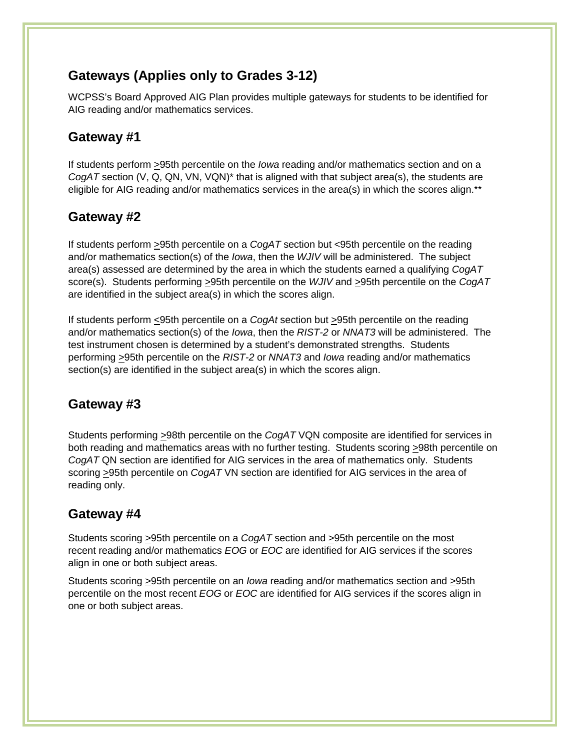#### **Gateways (Applies only to Grades 3-12)**

WCPSS's Board Approved AIG Plan provides multiple gateways for students to be identified for AIG reading and/or mathematics services.

#### **Gateway #1**

If students perform >95th percentile on the *Iowa* reading and/or mathematics section and on a *CogAT* section (V, Q, QN, VN, VQN)\* that is aligned with that subject area(s), the students are eligible for AIG reading and/or mathematics services in the area(s) in which the scores align.\*\*

#### **Gateway #2**

If students perform >95th percentile on a *CogAT* section but <95th percentile on the reading and/or mathematics section(s) of the *Iowa*, then the *WJIV* will be administered. The subject area(s) assessed are determined by the area in which the students earned a qualifying *CogAT* score(s). Students performing >95th percentile on the *WJIV* and >95th percentile on the *CogAT* are identified in the subject area(s) in which the scores align.

If students perform <95th percentile on a *CogAt* section but >95th percentile on the reading and/or mathematics section(s) of the *Iowa*, then the *RIST-2* or *NNAT3* will be administered. The test instrument chosen is determined by a student's demonstrated strengths. Students performing >95th percentile on the *RIST-2* or *NNAT3* and *Iowa* reading and/or mathematics section(s) are identified in the subject area(s) in which the scores align.

#### **Gateway #3**

Students performing  $\geq$ 98th percentile on the *CogAT* VQN composite are identified for services in both reading and mathematics areas with no further testing. Students scoring  $\geq$ 98th percentile on *CogAT* QN section are identified for AIG services in the area of mathematics only. Students scoring >95th percentile on *CogAT* VN section are identified for AIG services in the area of reading only.

#### **Gateway #4**

Students scoring >95th percentile on a *CogAT* section and >95th percentile on the most recent reading and/or mathematics *EOG* or *EOC* are identified for AIG services if the scores align in one or both subject areas.

Students scoring >95th percentile on an *Iowa* reading and/or mathematics section and >95th percentile on the most recent *EOG* or *EOC* are identified for AIG services if the scores align in one or both subject areas.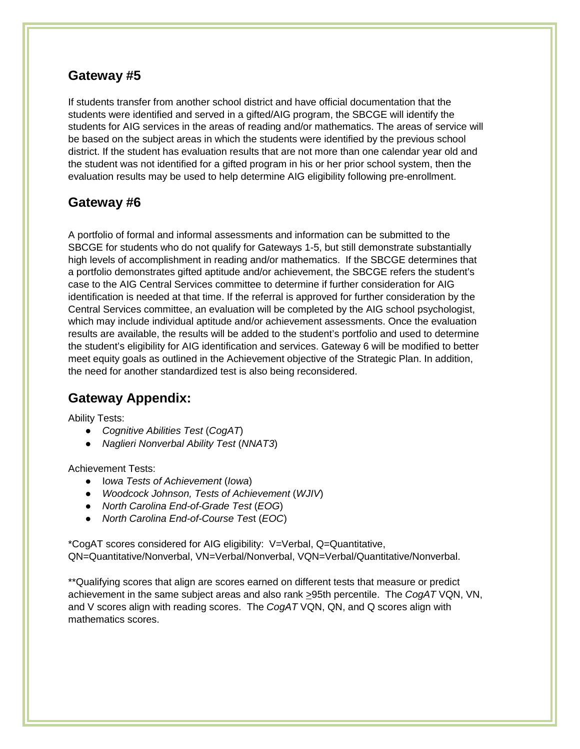#### **Gateway #5**

If students transfer from another school district and have official documentation that the students were identified and served in a gifted/AIG program, the SBCGE will identify the students for AIG services in the areas of reading and/or mathematics. The areas of service will be based on the subject areas in which the students were identified by the previous school district. If the student has evaluation results that are not more than one calendar year old and the student was not identified for a gifted program in his or her prior school system, then the evaluation results may be used to help determine AIG eligibility following pre-enrollment.

#### **Gateway #6**

A portfolio of formal and informal assessments and information can be submitted to the SBCGE for students who do not qualify for Gateways 1-5, but still demonstrate substantially high levels of accomplishment in reading and/or mathematics. If the SBCGE determines that a portfolio demonstrates gifted aptitude and/or achievement, the SBCGE refers the student's case to the AIG Central Services committee to determine if further consideration for AIG identification is needed at that time. If the referral is approved for further consideration by the Central Services committee, an evaluation will be completed by the AIG school psychologist, which may include individual aptitude and/or achievement assessments. Once the evaluation results are available, the results will be added to the student's portfolio and used to determine the student's eligibility for AIG identification and services. Gateway 6 will be modified to better meet equity goals as outlined in the Achievement objective of the Strategic Plan. In addition, the need for another standardized test is also being reconsidered.

#### **Gateway Appendix:**

Ability Tests:

- *Cognitive Abilities Test* (*CogAT*)
- *Naglieri Nonverbal Ability Test* (*NNAT3*)

Achievement Tests:

- I*owa Tests of Achievement* (*Iowa*)
- *Woodcock Johnson, Tests of Achievement* (*WJIV*)
- *North Carolina End-of-Grade Test* (*EOG*)
- *North Carolina End-of-Course Tes*t (*EOC*)

\*CogAT scores considered for AIG eligibility: V=Verbal, Q=Quantitative, QN=Quantitative/Nonverbal, VN=Verbal/Nonverbal, VQN=Verbal/Quantitative/Nonverbal.

\*\*Qualifying scores that align are scores earned on different tests that measure or predict achievement in the same subject areas and also rank >95th percentile. The *CogAT* VQN, VN, and V scores align with reading scores. The *CogAT* VQN, QN, and Q scores align with mathematics scores.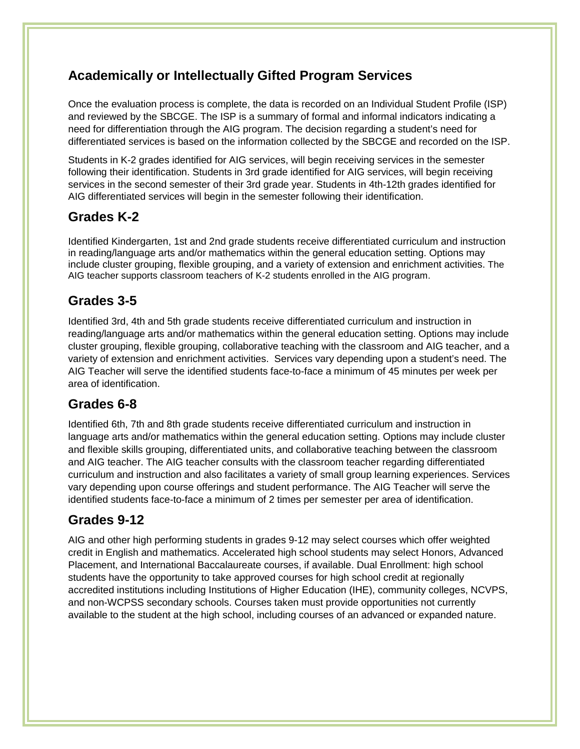#### **Academically or Intellectually Gifted Program Services**

Once the evaluation process is complete, the data is recorded on an Individual Student Profile (ISP) and reviewed by the SBCGE. The ISP is a summary of formal and informal indicators indicating a need for differentiation through the AIG program. The decision regarding a student's need for differentiated services is based on the information collected by the SBCGE and recorded on the ISP.

Students in K-2 grades identified for AIG services, will begin receiving services in the semester following their identification. Students in 3rd grade identified for AIG services, will begin receiving services in the second semester of their 3rd grade year. Students in 4th-12th grades identified for AIG differentiated services will begin in the semester following their identification.

#### **Grades K-2**

Identified Kindergarten, 1st and 2nd grade students receive differentiated curriculum and instruction in reading/language arts and/or mathematics within the general education setting. Options may include cluster grouping, flexible grouping, and a variety of extension and enrichment activities. The AIG teacher supports classroom teachers of K-2 students enrolled in the AIG program.

#### **Grades 3-5**

Identified 3rd, 4th and 5th grade students receive differentiated curriculum and instruction in reading/language arts and/or mathematics within the general education setting. Options may include cluster grouping, flexible grouping, collaborative teaching with the classroom and AIG teacher, and a variety of extension and enrichment activities. Services vary depending upon a student's need. The AIG Teacher will serve the identified students face-to-face a minimum of 45 minutes per week per area of identification.

#### **Grades 6-8**

Identified 6th, 7th and 8th grade students receive differentiated curriculum and instruction in language arts and/or mathematics within the general education setting. Options may include cluster and flexible skills grouping, differentiated units, and collaborative teaching between the classroom and AIG teacher. The AIG teacher consults with the classroom teacher regarding differentiated curriculum and instruction and also facilitates a variety of small group learning experiences. Services vary depending upon course offerings and student performance. The AIG Teacher will serve the identified students face-to-face a minimum of 2 times per semester per area of identification.

#### **Grades 9-12**

AIG and other high performing students in grades 9-12 may select courses which offer weighted credit in English and mathematics. Accelerated high school students may select Honors, Advanced Placement, and International Baccalaureate courses, if available. Dual Enrollment: high school students have the opportunity to take approved courses for high school credit at regionally accredited institutions including Institutions of Higher Education (IHE), community colleges, NCVPS, and non-WCPSS secondary schools. Courses taken must provide opportunities not currently available to the student at the high school, including courses of an advanced or expanded nature.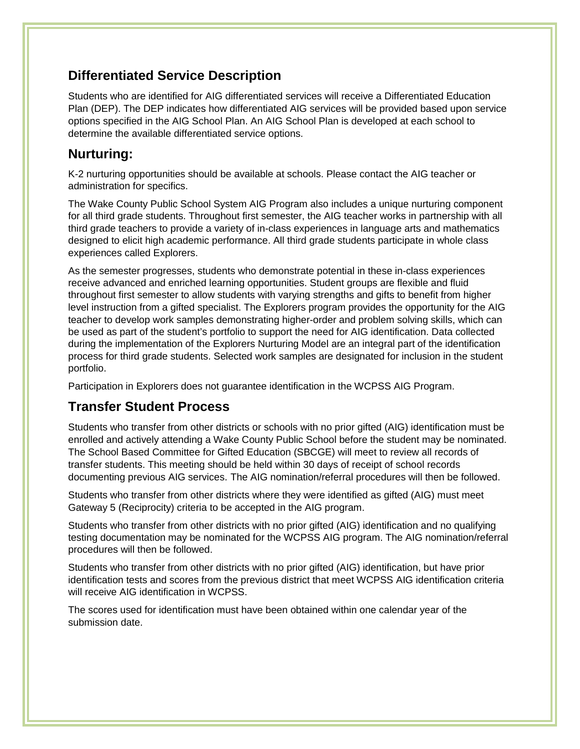#### **Differentiated Service Description**

Students who are identified for AIG differentiated services will receive a Differentiated Education Plan (DEP). The DEP indicates how differentiated AIG services will be provided based upon service options specified in the AIG School Plan. An AIG School Plan is developed at each school to determine the available differentiated service options.

#### **Nurturing:**

K-2 nurturing opportunities should be available at schools. Please contact the AIG teacher or administration for specifics.

The Wake County Public School System AIG Program also includes a unique nurturing component for all third grade students. Throughout first semester, the AIG teacher works in partnership with all third grade teachers to provide a variety of in-class experiences in language arts and mathematics designed to elicit high academic performance. All third grade students participate in whole class experiences called Explorers.

As the semester progresses, students who demonstrate potential in these in-class experiences receive advanced and enriched learning opportunities. Student groups are flexible and fluid throughout first semester to allow students with varying strengths and gifts to benefit from higher level instruction from a gifted specialist. The Explorers program provides the opportunity for the AIG teacher to develop work samples demonstrating higher-order and problem solving skills, which can be used as part of the student's portfolio to support the need for AIG identification. Data collected during the implementation of the Explorers Nurturing Model are an integral part of the identification process for third grade students. Selected work samples are designated for inclusion in the student portfolio.

Participation in Explorers does not guarantee identification in the WCPSS AIG Program.

#### **Transfer Student Process**

Students who transfer from other districts or schools with no prior gifted (AIG) identification must be enrolled and actively attending a Wake County Public School before the student may be nominated. The School Based Committee for Gifted Education (SBCGE) will meet to review all records of transfer students. This meeting should be held within 30 days of receipt of school records documenting previous AIG services. The AIG nomination/referral procedures will then be followed.

Students who transfer from other districts where they were identified as gifted (AIG) must meet Gateway 5 (Reciprocity) criteria to be accepted in the AIG program.

Students who transfer from other districts with no prior gifted (AIG) identification and no qualifying testing documentation may be nominated for the WCPSS AIG program. The AIG nomination/referral procedures will then be followed.

Students who transfer from other districts with no prior gifted (AIG) identification, but have prior identification tests and scores from the previous district that meet WCPSS AIG identification criteria will receive AIG identification in WCPSS.

The scores used for identification must have been obtained within one calendar year of the submission date.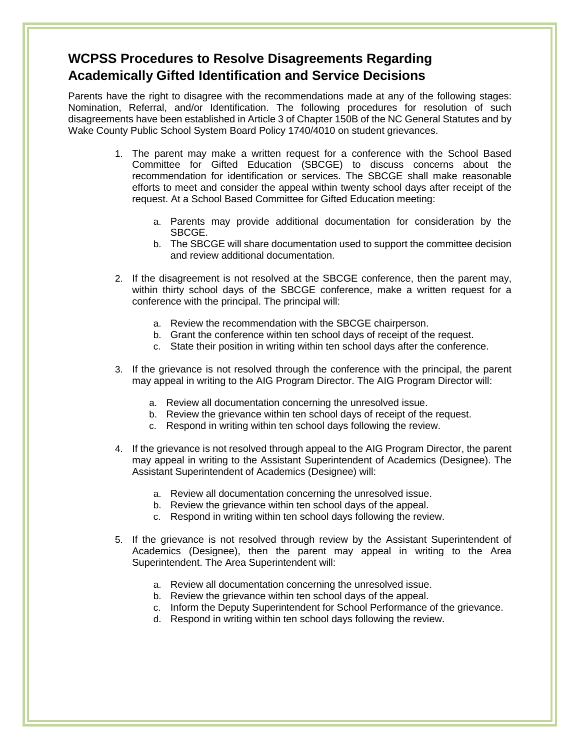#### **WCPSS Procedures to Resolve Disagreements Regarding Academically Gifted Identification and Service Decisions**

Parents have the right to disagree with the recommendations made at any of the following stages: Nomination, Referral, and/or Identification. The following procedures for resolution of such disagreements have been established in Article 3 of Chapter 150B of the NC General Statutes and by Wake County Public School System Board Policy 1740/4010 on student grievances.

- 1. The parent may make a written request for a conference with the School Based Committee for Gifted Education (SBCGE) to discuss concerns about the recommendation for identification or services. The SBCGE shall make reasonable efforts to meet and consider the appeal within twenty school days after receipt of the request. At a School Based Committee for Gifted Education meeting:
	- a. Parents may provide additional documentation for consideration by the SBCGE.
	- b. The SBCGE will share documentation used to support the committee decision and review additional documentation.
- 2. If the disagreement is not resolved at the SBCGE conference, then the parent may, within thirty school days of the SBCGE conference, make a written request for a conference with the principal. The principal will:
	- a. Review the recommendation with the SBCGE chairperson.
	- b. Grant the conference within ten school days of receipt of the request.
	- c. State their position in writing within ten school days after the conference.
- 3. If the grievance is not resolved through the conference with the principal, the parent may appeal in writing to the AIG Program Director. The AIG Program Director will:
	- a. Review all documentation concerning the unresolved issue.
	- b. Review the grievance within ten school days of receipt of the request.
	- c. Respond in writing within ten school days following the review.
- 4. If the grievance is not resolved through appeal to the AIG Program Director, the parent may appeal in writing to the Assistant Superintendent of Academics (Designee). The Assistant Superintendent of Academics (Designee) will:
	- a. Review all documentation concerning the unresolved issue.
	- b. Review the grievance within ten school days of the appeal.
	- c. Respond in writing within ten school days following the review.
- 5. If the grievance is not resolved through review by the Assistant Superintendent of Academics (Designee), then the parent may appeal in writing to the Area Superintendent. The Area Superintendent will:
	- a. Review all documentation concerning the unresolved issue.
	- b. Review the grievance within ten school days of the appeal.
	- c. Inform the Deputy Superintendent for School Performance of the grievance.
	- d. Respond in writing within ten school days following the review.